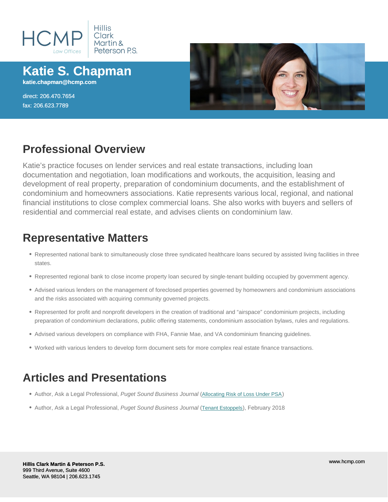# Katie S. Chapman

katie.chapman@hcmp.com

direct: 206.470.7654 fax: 206.623.7789

## Professional Overview

Katie's practice focuses on lender services and real estate transactions, including loan documentation and negotiation, loan modifications and workouts, the acquisition, leasing and development of real property, preparation of condominium documents, and the establishment of condominium and homeowners associations. Katie represents various local, regional, and national financial institutions to close complex commercial loans. She also works with buyers and sellers of residential and commercial real estate, and advises clients on condominium law.

## Representative Matters

- Represented national bank to simultaneously close three syndicated healthcare loans secured by assisted living facilities in three states.
- Represented regional bank to close income property loan secured by single-tenant building occupied by government agency.
- Advised various lenders on the management of foreclosed properties governed by homeowners and condominium associations and the risks associated with acquiring community governed projects.
- Represented for profit and nonprofit developers in the creation of traditional and "airspace" condominium projects, including preparation of condominium declarations, public offering statements, condominium association bylaws, rules and regulations.
- Advised various developers on compliance with FHA, Fannie Mae, and VA condominium financing guidelines.
- Worked with various lenders to develop form document sets for more complex real estate finance transactions.

## Articles and Presentations

- Author, Ask a Legal Professional, Puget Sound Business Journal ([Allocating Risk of Loss Under PSA](/uploads/pdf/aals/hcmp-chapman-5-31-19-003.pdf))
- Author, Ask a Legal Professional, Puget Sound Business Journal ([Tenant Estoppels](/uploads/pdf/hcmp-chapman2-23-184835-9468-5278-aalpdf.pdf)), February 2018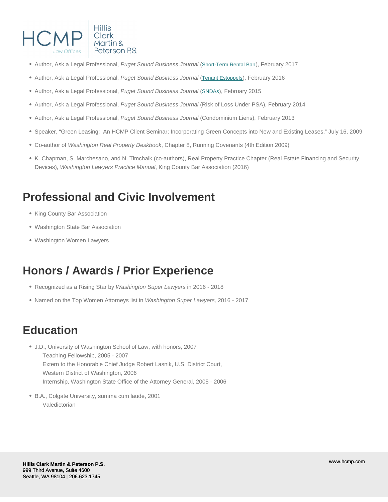- Author, Ask a Legal Professional, Puget Sound Business Journal ([Short-Term Rental Ban](/uploads/pdf/aals/hcmp-chapman-2-24-17.pdf)), February 2017
- Author, Ask a Legal Professional, Puget Sound Business Journal ([Tenant Estoppels](/uploads/pdf/hcmp-chapman-2-26-16.pdf)), February 2016
- Author, Ask a Legal Professional, Puget Sound Business Journal ([SNDAs](/uploads/pdf/aals/hcmp-chapman-2-27-15.pdf)), February 2015
- Author, Ask a Legal Professional, Puget Sound Business Journal (Risk of Loss Under PSA), February 2014
- Author, Ask a Legal Professional, Puget Sound Business Journal (Condominium Liens), February 2013
- Speaker, "Green Leasing: An HCMP Client Seminar; Incorporating Green Concepts into New and Existing Leases," July 16, 2009
- Co-author of Washington Real Property Deskbook, Chapter 8, Running Covenants (4th Edition 2009)
- K. Chapman, S. Marchesano, and N. Timchalk (co-authors), Real Property Practice Chapter (Real Estate Financing and Security Devices), Washington Lawyers Practice Manual, King County Bar Association (2016)

## Professional and Civic Involvement

- King County Bar Association
- Washington State Bar Association
- Washington Women Lawyers

## Honors / Awards / Prior Experience

- Recognized as a Rising Star by Washington Super Lawyers in 2016 2018
- Named on the Top Women Attorneys list in Washington Super Lawyers, 2016 2017

## **Education**

- J.D., University of Washington School of Law, with honors, 2007 Teaching Fellowship, 2005 - 2007 Extern to the Honorable Chief Judge Robert Lasnik, U.S. District Court, Western District of Washington, 2006 Internship, Washington State Office of the Attorney General, 2005 - 2006
- B.A., Colgate University, summa cum laude, 2001 Valedictorian